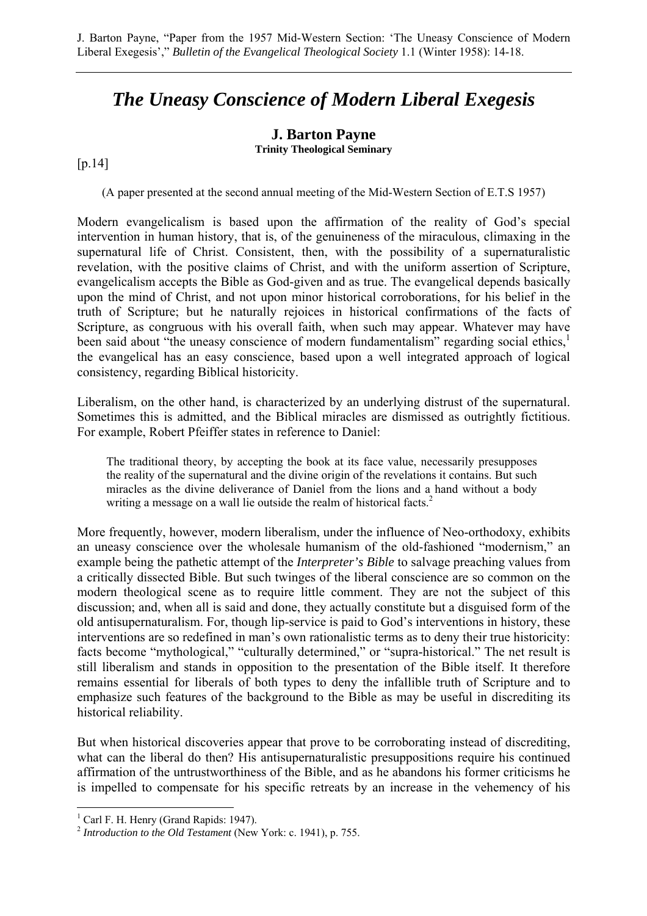## *The Uneasy Conscience of Modern Liberal Exegesis*

## **J. Barton Payne**

**Trinity Theological Seminary** 

[p.14]

(A paper presented at the second annual meeting of the Mid-Western Section of E.T.S 1957)

Modern evangelicalism is based upon the affirmation of the reality of God's special intervention in human history, that is, of the genuineness of the miraculous, climaxing in the supernatural life of Christ. Consistent, then, with the possibility of a supernaturalistic revelation, with the positive claims of Christ, and with the uniform assertion of Scripture, evangelicalism accepts the Bible as God-given and as true. The evangelical depends basically upon the mind of Christ, and not upon minor historical corroborations, for his belief in the truth of Scripture; but he naturally rejoices in historical confirmations of the facts of Scripture, as congruous with his overall faith, when such may appear. Whatever may have been said about "the uneasy conscience of modern fundamentalism" regarding social ethics,<sup>1</sup> the evangelical has an easy conscience, based upon a well integrated approach of logical consistency, regarding Biblical historicity.

Liberalism, on the other hand, is characterized by an underlying distrust of the supernatural. Sometimes this is admitted, and the Biblical miracles are dismissed as outrightly fictitious. For example, Robert Pfeiffer states in reference to Daniel:

The traditional theory, by accepting the book at its face value, necessarily presupposes the reality of the supernatural and the divine origin of the revelations it contains. But such miracles as the divine deliverance of Daniel from the lions and a hand without a body writing a message on a wall lie outside the realm of historical facts.<sup>2</sup>

More frequently, however, modern liberalism, under the influence of Neo-orthodoxy, exhibits an uneasy conscience over the wholesale humanism of the old-fashioned "modernism," an example being the pathetic attempt of the *Interpreter's Bible* to salvage preaching values from a critically dissected Bible. But such twinges of the liberal conscience are so common on the modern theological scene as to require little comment. They are not the subject of this discussion; and, when all is said and done, they actually constitute but a disguised form of the old antisupernaturalism. For, though lip-service is paid to God's interventions in history, these interventions are so redefined in man's own rationalistic terms as to deny their true historicity: facts become "mythological," "culturally determined," or "supra-historical." The net result is still liberalism and stands in opposition to the presentation of the Bible itself. It therefore remains essential for liberals of both types to deny the infallible truth of Scripture and to emphasize such features of the background to the Bible as may be useful in discrediting its historical reliability.

But when historical discoveries appear that prove to be corroborating instead of discrediting, what can the liberal do then? His antisupernaturalistic presuppositions require his continued affirmation of the untrustworthiness of the Bible, and as he abandons his former criticisms he is impelled to compensate for his specific retreats by an increase in the vehemency of his

<sup>&</sup>lt;sup>1</sup> Carl F. H. Henry (Grand Rapids: 1947).

<sup>2</sup> *Introduction to the Old Testament* (New York: c. 1941), p. 755.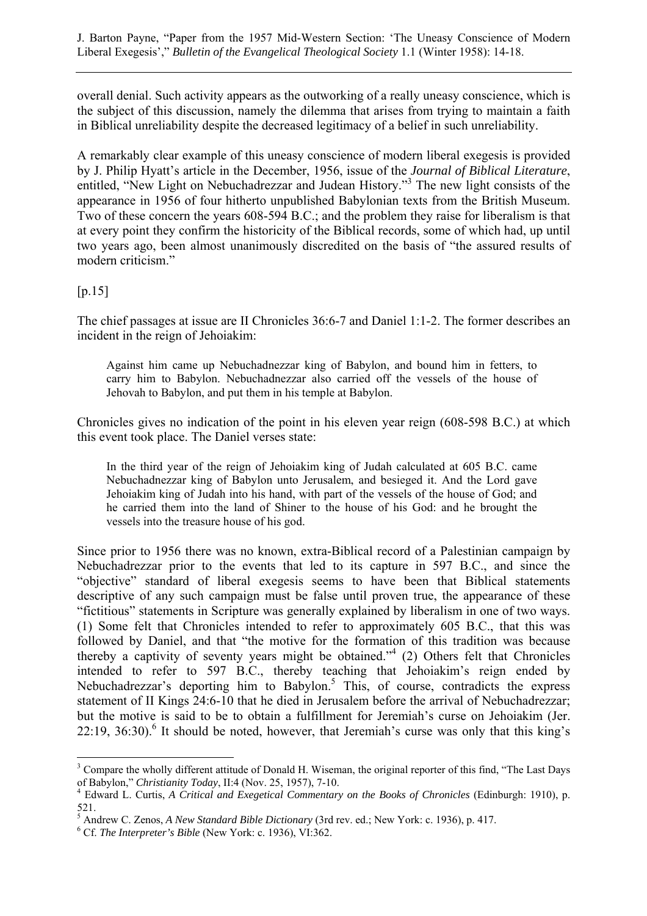J. Barton Payne, "Paper from the 1957 Mid-Western Section: 'The Uneasy Conscience of Modern Liberal Exegesis'," *Bulletin of the Evangelical Theological Society* 1.1 (Winter 1958): 14-18.

overall denial. Such activity appears as the outworking of a really uneasy conscience, which is the subject of this discussion, namely the dilemma that arises from trying to maintain a faith in Biblical unreliability despite the decreased legitimacy of a belief in such unreliability.

A remarkably clear example of this uneasy conscience of modern liberal exegesis is provided by J. Philip Hyatt's article in the December, 1956, issue of the *Journal of Biblical Literature*, entitled, "New Light on Nebuchadrezzar and Judean History."<sup>3</sup> The new light consists of the appearance in 1956 of four hitherto unpublished Babylonian texts from the British Museum. Two of these concern the years 608-594 B.C.; and the problem they raise for liberalism is that at every point they confirm the historicity of the Biblical records, some of which had, up until two years ago, been almost unanimously discredited on the basis of "the assured results of modern criticism."

## $[p.15]$

 $\overline{a}$ 

The chief passages at issue are II Chronicles 36:6-7 and Daniel 1:1-2. The former describes an incident in the reign of Jehoiakim:

Against him came up Nebuchadnezzar king of Babylon, and bound him in fetters, to carry him to Babylon. Nebuchadnezzar also carried off the vessels of the house of Jehovah to Babylon, and put them in his temple at Babylon.

Chronicles gives no indication of the point in his eleven year reign (608-598 B.C.) at which this event took place. The Daniel verses state:

In the third year of the reign of Jehoiakim king of Judah calculated at 605 B.C. came Nebuchadnezzar king of Babylon unto Jerusalem, and besieged it. And the Lord gave Jehoiakim king of Judah into his hand, with part of the vessels of the house of God; and he carried them into the land of Shiner to the house of his God: and he brought the vessels into the treasure house of his god.

Since prior to 1956 there was no known, extra-Biblical record of a Palestinian campaign by Nebuchadrezzar prior to the events that led to its capture in 597 B.C., and since the "objective" standard of liberal exegesis seems to have been that Biblical statements descriptive of any such campaign must be false until proven true, the appearance of these "fictitious" statements in Scripture was generally explained by liberalism in one of two ways. (1) Some felt that Chronicles intended to refer to approximately 605 B.C., that this was followed by Daniel, and that "the motive for the formation of this tradition was because thereby a captivity of seventy years might be obtained.<sup> $,4$ </sup> (2) Others felt that Chronicles intended to refer to 597 B.C., thereby teaching that Jehoiakim's reign ended by Nebuchadrezzar's deporting him to Babylon.<sup>5</sup> This, of course, contradicts the express statement of II Kings 24:6-10 that he died in Jerusalem before the arrival of Nebuchadrezzar; but the motive is said to be to obtain a fulfillment for Jeremiah's curse on Jehoiakim (Jer.  $22:19$ ,  $36:30$ ).<sup>6</sup> It should be noted, however, that Jeremiah's curse was only that this king's

<sup>&</sup>lt;sup>3</sup> Compare the wholly different attitude of Donald H. Wiseman, the original reporter of this find, "The Last Days of Babylon," *Christianity Today*, II:4 (Nov. 25, 1957), 7-10. 4

Edward L. Curtis, *A Critical and Exegetical Commentary on the Books of Chronicles* (Edinburgh: 1910), p. 521.

<sup>&</sup>lt;sup>5</sup> Andrew C. Zenos, *A New Standard Bible Dictionary* (3rd rev. ed.; New York: c. 1936), p. 417.

Cf. *The Interpreter's Bible* (New York: c. 1936), VI:362.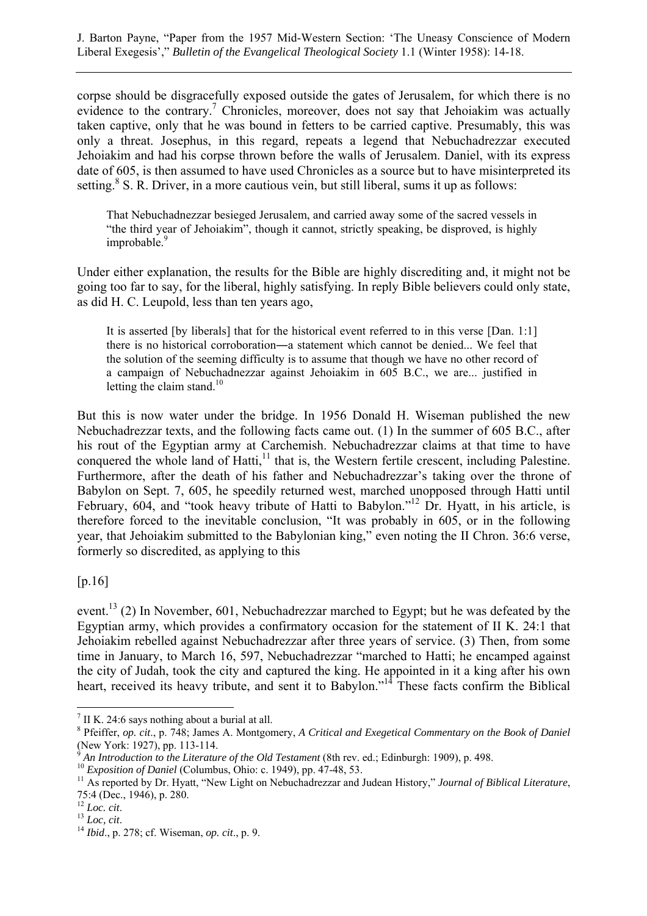corpse should be disgracefully exposed outside the gates of Jerusalem, for which there is no evidence to the contrary.<sup>7</sup> Chronicles, moreover, does not say that Jehoiakim was actually taken captive, only that he was bound in fetters to be carried captive. Presumably, this was only a threat. Josephus, in this regard, repeats a legend that Nebuchadrezzar executed Jehoiakim and had his corpse thrown before the walls of Jerusalem. Daniel, with its express date of 605, is then assumed to have used Chronicles as a source but to have misinterpreted its setting.<sup>8</sup> S. R. Driver, in a more cautious vein, but still liberal, sums it up as follows:

That Nebuchadnezzar besieged Jerusalem, and carried away some of the sacred vessels in "the third year of Jehoiakim", though it cannot, strictly speaking, be disproved, is highly improbable.<sup>9</sup>

Under either explanation, the results for the Bible are highly discrediting and, it might not be going too far to say, for the liberal, highly satisfying. In reply Bible believers could only state, as did H. C. Leupold, less than ten years ago,

It is asserted [by liberals] that for the historical event referred to in this verse [Dan. 1:1] there is no historical corroboration―a statement which cannot be denied... We feel that the solution of the seeming difficulty is to assume that though we have no other record of a campaign of Nebuchadnezzar against Jehoiakim in 605 B.C., we are... justified in letting the claim stand. $10$ 

But this is now water under the bridge. In 1956 Donald H. Wiseman published the new Nebuchadrezzar texts, and the following facts came out. (1) In the summer of 605 B.C., after his rout of the Egyptian army at Carchemish. Nebuchadrezzar claims at that time to have conquered the whole land of Hatti, $<sup>11</sup>$  that is, the Western fertile crescent, including Palestine.</sup> Furthermore, after the death of his father and Nebuchadrezzar's taking over the throne of Babylon on Sept. 7, 605, he speedily returned west, marched unopposed through Hatti until February, 604, and "took heavy tribute of Hatti to Babylon."<sup>12</sup> Dr. Hyatt, in his article, is therefore forced to the inevitable conclusion, "It was probably in 605, or in the following year, that Jehoiakim submitted to the Babylonian king," even noting the II Chron. 36:6 verse, formerly so discredited, as applying to this

[p.16]

 $\overline{a}$ 

event.<sup>13</sup> (2) In November, 601, Nebuchadrezzar marched to Egypt; but he was defeated by the Egyptian army, which provides a confirmatory occasion for the statement of II K. 24:1 that Jehoiakim rebelled against Nebuchadrezzar after three years of service. (3) Then, from some time in January, to March 16, 597, Nebuchadrezzar "marched to Hatti; he encamped against the city of Judah, took the city and captured the king. He appointed in it a king after his own heart, received its heavy tribute, and sent it to Babylon."<sup>14</sup> These facts confirm the Biblical

 $7$  II K. 24:6 says nothing about a burial at all.

<sup>8</sup> Pfeiffer, *op. cit*., p. 748; James A. Montgomery, *A Critical and Exegetical Commentary on the Book of Daniel* (New York: 1927), pp. 113-114.<br><sup>9</sup> An Introduction to the Literature of the Old Testament (8th rev. ed.: Edinburgh: 1909), p. 498.

<sup>&</sup>lt;sup>10</sup> Exposition of Daniel (Columbus, Ohio: c. 1949), pp. 47-48, 53.<br><sup>11</sup> As reported by Dr. Hyatt, "New Light on Nebuchadrezzar and Judean History," *Journal of Biblical Literature*, 75:4 (Dec., 1946), p. 280.<br><sup>12</sup> Loc. cit.

<sup>12</sup> *Loc. cit*. 13 *Loc, cit*. 14 *Ibid*., p. 278; cf. Wiseman, *op. cit*., p. 9.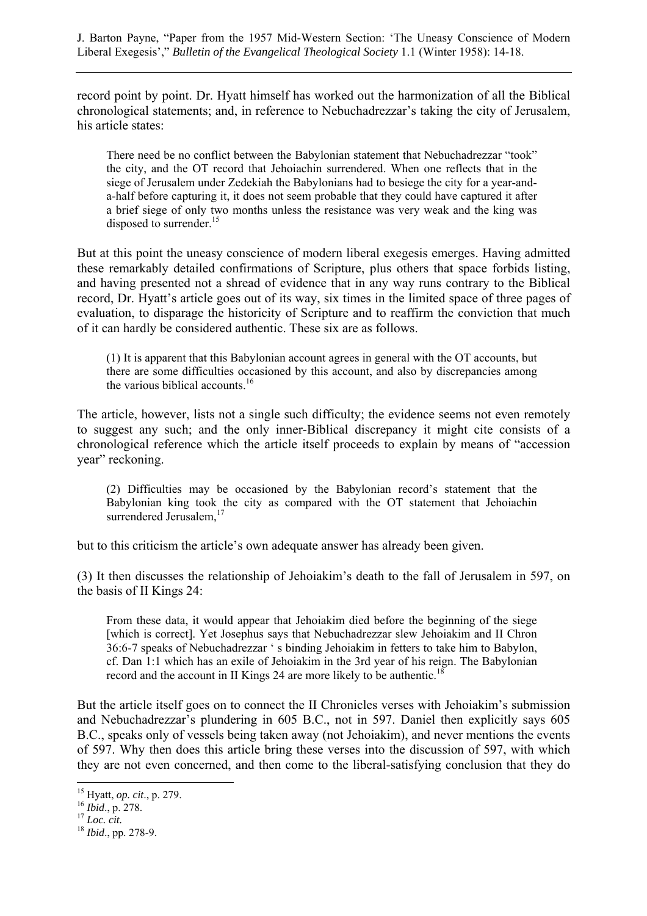record point by point. Dr. Hyatt himself has worked out the harmonization of all the Biblical chronological statements; and, in reference to Nebuchadrezzar's taking the city of Jerusalem, his article states:

There need be no conflict between the Babylonian statement that Nebuchadrezzar "took" the city, and the OT record that Jehoiachin surrendered. When one reflects that in the siege of Jerusalem under Zedekiah the Babylonians had to besiege the city for a year-anda-half before capturing it, it does not seem probable that they could have captured it after a brief siege of only two months unless the resistance was very weak and the king was disposed to surrender. $15$ 

But at this point the uneasy conscience of modern liberal exegesis emerges. Having admitted these remarkably detailed confirmations of Scripture, plus others that space forbids listing, and having presented not a shread of evidence that in any way runs contrary to the Biblical record, Dr. Hyatt's article goes out of its way, six times in the limited space of three pages of evaluation, to disparage the historicity of Scripture and to reaffirm the conviction that much of it can hardly be considered authentic. These six are as follows.

(1) It is apparent that this Babylonian account agrees in general with the OT accounts, but there are some difficulties occasioned by this account, and also by discrepancies among the various biblical accounts.<sup>16</sup>

The article, however, lists not a single such difficulty; the evidence seems not even remotely to suggest any such; and the only inner-Biblical discrepancy it might cite consists of a chronological reference which the article itself proceeds to explain by means of "accession year" reckoning.

(2) Difficulties may be occasioned by the Babylonian record's statement that the Babylonian king took the city as compared with the OT statement that Jehoiachin surrendered Jerusalem,<sup>17</sup>

but to this criticism the article's own adequate answer has already been given.

(3) It then discusses the relationship of Jehoiakim's death to the fall of Jerusalem in 597, on the basis of II Kings 24:

From these data, it would appear that Jehoiakim died before the beginning of the siege [which is correct]. Yet Josephus says that Nebuchadrezzar slew Jehoiakim and II Chron 36:6-7 speaks of Nebuchadrezzar ' s binding Jehoiakim in fetters to take him to Babylon, cf. Dan 1:1 which has an exile of Jehoiakim in the 3rd year of his reign. The Babylonian record and the account in II Kings 24 are more likely to be authentic.<sup>18</sup>

But the article itself goes on to connect the II Chronicles verses with Jehoiakim's submission and Nebuchadrezzar's plundering in 605 B.C., not in 597. Daniel then explicitly says 605 B.C., speaks only of vessels being taken away (not Jehoiakim), and never mentions the events of 597. Why then does this article bring these verses into the discussion of 597, with which they are not even concerned, and then come to the liberal-satisfying conclusion that they do

<sup>15</sup> Hyatt, *op. cit*., p. 279. 16 *Ibid*., p. 278. 17 *Loc. cit.* <sup>18</sup> *Ibid*., pp. 278-9.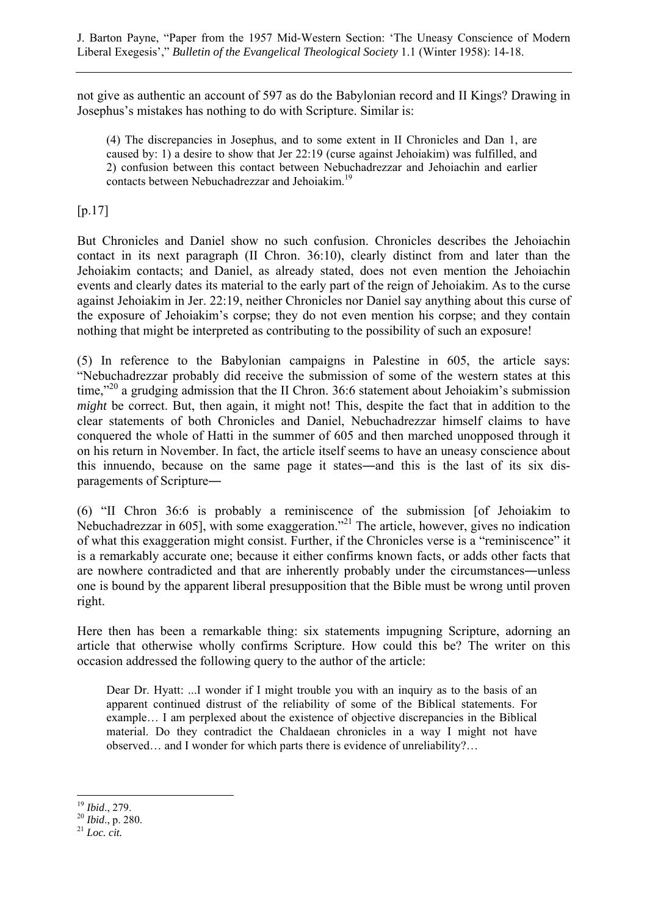not give as authentic an account of 597 as do the Babylonian record and II Kings? Drawing in Josephus's mistakes has nothing to do with Scripture. Similar is:

(4) The discrepancies in Josephus, and to some extent in II Chronicles and Dan 1, are caused by: 1) a desire to show that Jer 22:19 (curse against Jehoiakim) was fulfilled, and 2) confusion between this contact between Nebuchadrezzar and Jehoiachin and earlier contacts between Nebuchadrezzar and Jehoiakim.19

 $[p.17]$ 

But Chronicles and Daniel show no such confusion. Chronicles describes the Jehoiachin contact in its next paragraph (II Chron. 36:10), clearly distinct from and later than the Jehoiakim contacts; and Daniel, as already stated, does not even mention the Jehoiachin events and clearly dates its material to the early part of the reign of Jehoiakim. As to the curse against Jehoiakim in Jer. 22:19, neither Chronicles nor Daniel say anything about this curse of the exposure of Jehoiakim's corpse; they do not even mention his corpse; and they contain nothing that might be interpreted as contributing to the possibility of such an exposure!

(5) In reference to the Babylonian campaigns in Palestine in 605, the article says: "Nebuchadrezzar probably did receive the submission of some of the western states at this time."<sup>20</sup> a grudging admission that the II Chron. 36:6 statement about Jehoiakim's submission *might* be correct. But, then again, it might not! This, despite the fact that in addition to the clear statements of both Chronicles and Daniel, Nebuchadrezzar himself claims to have conquered the whole of Hatti in the summer of 605 and then marched unopposed through it on his return in November. In fact, the article itself seems to have an uneasy conscience about this innuendo, because on the same page it states―and this is the last of its six disparagements of Scripture―

(6) "II Chron 36:6 is probably a reminiscence of the submission [of Jehoiakim to Nebuchadrezzar in 605], with some exaggeration."<sup>21</sup> The article, however, gives no indication of what this exaggeration might consist. Further, if the Chronicles verse is a "reminiscence" it is a remarkably accurate one; because it either confirms known facts, or adds other facts that are nowhere contradicted and that are inherently probably under the circumstances―unless one is bound by the apparent liberal presupposition that the Bible must be wrong until proven right.

Here then has been a remarkable thing: six statements impugning Scripture, adorning an article that otherwise wholly confirms Scripture. How could this be? The writer on this occasion addressed the following query to the author of the article:

Dear Dr. Hyatt: ...I wonder if I might trouble you with an inquiry as to the basis of an apparent continued distrust of the reliability of some of the Biblical statements. For example… I am perplexed about the existence of objective discrepancies in the Biblical material. Do they contradict the Chaldaean chronicles in a way I might not have observed… and I wonder for which parts there is evidence of unreliability?…

<sup>19</sup> *Ibid*., 279. 20 *Ibid*., p. 280. 21 *Loc. cit.*